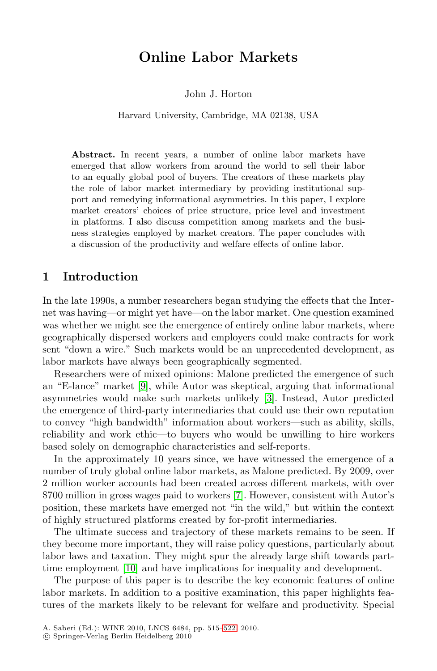# **Online Labor Markets**

John J. Horton

Harvard University, Cambridge, MA 02138, USA

**Abstract.** In recent years, a number of online labor markets have emerged that allow workers from around the world to sell their labor to an equally global pool of buyers. The creators of these markets play the role of labor market intermediary by providing institutional support and remedying informational asymmetries. In this paper, I explore market creators' choices of price structure, price level and investment in platforms. I also discuss competition among markets and the business strategies employed by market creators. The paper concludes with a discussion of the productivity and welfare effects of online labor.

## **1 Introduction**

In [th](#page-7-0)e late 1990s, a number rese[ar](#page-7-1)chers began studying the effects that the Internet was having—or might yet have—on the labor market. One question examined was whether we might see the emergence of entirely online labor markets, where geographically dispersed workers and employers could make contracts for work sent "down a wire." Such markets would be an unprecedented development, as labor markets have always been geographically segmented.

Researchers were of mixed opinions: Malone predicted the emergence of such an "E-lance" market [9], while Autor was skeptical, arguing that informational asymmetries would ma[ke](#page-7-2) such markets unlikely [3]. Instead, Autor predicted the emergence of third-party intermediaries that could use their own reputation to convey "high bandwidth" information about workers—such as ability, skills, reliability and work ethic—to buyers who would be unwilling to hire workers based solely on demographic characteristics and self-reports.

In the approximately 10 years since, we have witnessed the emergence of a [nu](#page-7-3)mber of truly global online labor markets, as Malone predicted. By 2009, over 2 million worker accounts had been created across different markets, with over \$700 million in gross wages paid to workers [7]. However, consistent with Autor's position, these markets have emerged not "in the wild," but within the context of highly structured platforms created by for-profit intermediaries.

The ultimate succ[ess a](#page-7-4)nd trajectory of these markets remains to be seen. If they become more important, they will raise policy questions, particularly about labor laws and taxation. They might spur the already large shift towards parttime employment [10] and have implications for inequality and development.

The purpose of this paper is to describe the key economic features of online labor markets. In addition to a positive examination, this paper highlights features of the markets likely to be relevant for welfare and productivity. Special

A. Saberi (Ed.): WINE 2010, LNCS 6484, pp. 515–522, 2010.

<sup>-</sup>c Springer-Verlag Berlin Heidelberg 2010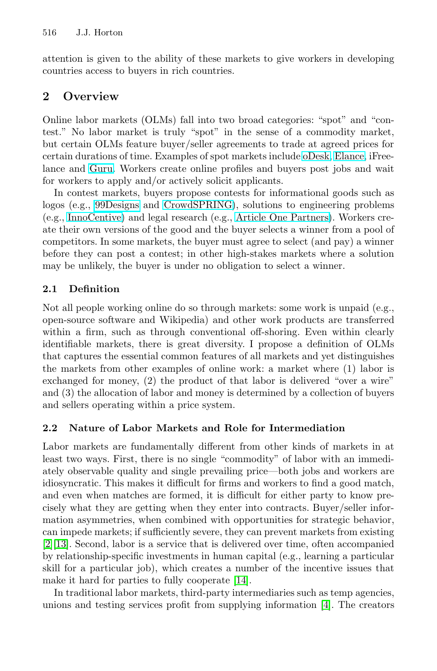#### 516 J.J. Horton

attention is given to the ability of thes[e mark](http://www.oDesk.com)[ets to g](http://www.Elance.com)ive workers in developing countries access to buyers in rich countries.

## **2 Overview**

[Onl](file:99Designs.com)ine l[abor](http://www.crowdspring.com/) [markets](http://www.crowdspring.com/) [\(](http://www.crowdspring.com/)[OLMs\) fall into two br](http://www.articleonepartners.com/)oad categories: "spot" and "contest." No labor market is truly "spot" in the sense of a commodity market, but certain OLMs feature buyer/seller agreements to trade at agreed prices for certain durations of time. Examples of spot markets include oDesk, Elance, iFreelance and Guru. Workers create online profiles and buyers post jobs and wait for workers to apply and/or actively solicit applicants.

In contest markets, buyers propose contests for informational goods such as logos (e.g., 99Designs and CrowdSPRING), solutions to engineering problems (e.g., InnoCentive) and legal research (e.g., Article One Partners). Workers create their own versions of the good and the buyer selects a winner from a pool of competitors. In some markets, the buyer must agree to select (and pay) a winner before they can post a contest; in other high-stakes markets where a solution may be unlikely, the buyer is under no obligation to select a winner.

## **2.1 Definition**

Not all people working online do so through markets: some work is unpaid (e.g., open-source software and Wikipedia) and other work products are transferred within a firm, such as through conventional off-shoring. Even within clearly identifiable markets, there is great diversity. I propose a definition of OLMs that captures the essential common features of all markets and yet distinguishes the markets from other examples of online work: a market where (1) labor is exchanged for money, (2) the product of that labor is delivered "over a wire" and (3) the allocation of labor and money is determined by a collection of buyers and sellers operating within a price system.

#### **2.2 Nature of Labor Markets and Role for Intermediation**

Labor markets are fundamentally different from other kinds of markets in at least two ways. First, there is no single "commodity" of labor with an immediately observable quality and single prevailing price—both jobs and workers are idiosyncratic. This make[s it](#page-7-5) difficult for firms and workers to find a good match, and even when matches are formed, it is difficult for either party to know precisely what they are getting when they ente[r i](#page-7-6)nto contracts. Buyer/seller information asymmetries, when combined with opportunities for strategic behavior, can impede markets; if sufficiently severe, they can prevent markets from existing [2][13]. Second, labor is a service that is delivered over time, often accompanied by relationship-specific investments in human capital (e.g., learning a particular skill for a particular job), which creates a number of the incentive issues that make it hard for parties to fully cooperate [14].

In traditional labor markets, third-party intermediaries such as temp agencies, unions and testing services profit from supplying information [4]. The creators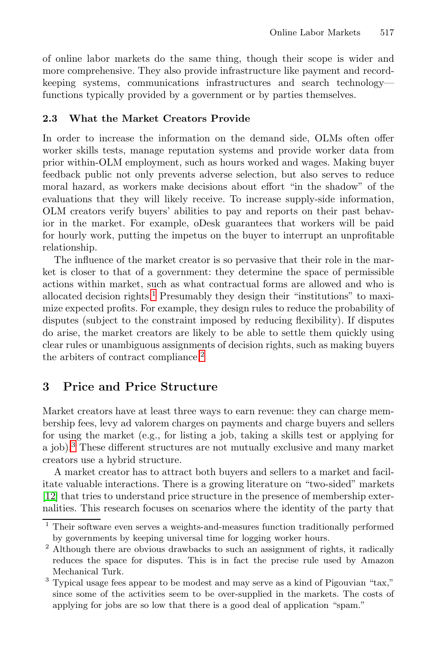of online labor markets do the same thing, though their scope is wider and more comprehensive. They also provide infrastructure like payment and recordkeeping systems, communications infrastructures and search technology functions typically provided by a government or by parties themselves.

#### **2.3 What the Market Creators Provide**

In order to increase the information on the demand side, OLMs often offer worker skills tests, manage reputation systems and provide worker data from prior within-OLM employment, such as hours worked and wages. Making buyer feedback public not only prevents adverse selection, but also serves to reduce moral hazard, as workers make decisions about effort "in the shadow" of the evalu[at](#page-2-0)ions that they will likely receive. To increase supply-side information, OLM creators verify buyers' abilities to pay and reports on their past behavior in the market. For example, oDesk guarantees that workers will be paid for hourly work, putting the impetus on the buyer to interrupt an unprofitable relationship.

The influence [o](#page-2-1)f the market creator is so pervasive that their role in the market is closer to that of a government: they determine the space of permissible actions within market, such as what contractual forms are allowed and who is allocated decision rights.<sup>1</sup> Presumably they design their "institutions" to maximize expected profits. For example, they design rules to reduce the probability of disputes (subject to the constraint imposed by reducing flexibility). If disputes do arise, the market creators are likely to be able to settle them quickly using clear rules or unambiguous assignments of decision rights, such as making buyers the arbiters of contract compliance.<sup>2</sup>

## **3 Price and Price Structure**

Market creators have at least three ways to earn revenue: they can charge membership fees, levy ad valorem charges on payments and charge buyers and sellers for using the market (e.g., for listing a job, taking a skills test or applying for a job).<sup>3</sup> These different structures are not mutually exclusive and many market creators use a hybrid structure.

<span id="page-2-1"></span><span id="page-2-0"></span>A market creator has to attract both buyers and sellers to a market and facilitate valuable interactions. There is a growing literature on "two-sided" markets [12] that tries to understand price structure in the presence of membership externalities. This research focuses on scenarios where the identity of the party that

<sup>&</sup>lt;sup>1</sup> Their software even serves a weights-and-measures function traditionally performed by governments by keeping universal time for logging worker hours.

<sup>&</sup>lt;sup>2</sup> Although there are obvious drawbacks to such an assignment of rights, it radically reduces the space for disputes. This is in fact the precise rule used by Amazon Mechanical Turk.

 $^3$  Typical usage fees appear to be modest and may serve as a kind of Pigouvian "tax," since some of the activities seem to be over-supplied in the markets. The costs of applying for jobs are so low that there is a good deal of application "spam."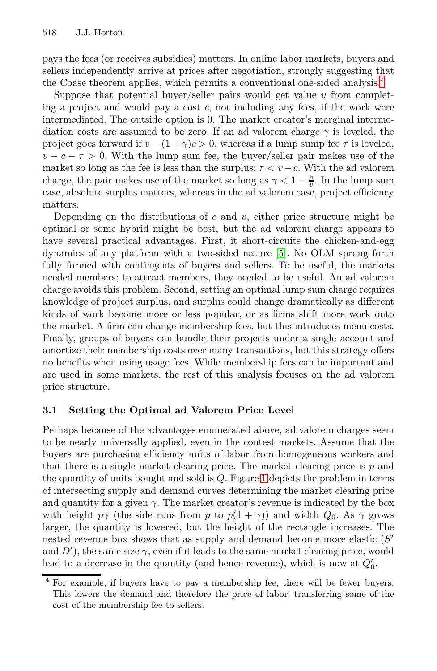#### 518 J.J. Horton

pays the fees (or receives subsidies) matters. In online labor markets, buyers and sellers independently arrive at prices after negotiation, strongly suggesting that the Coase theorem applies, which permits a conventional one-sided analysis.<sup>4</sup>

Suppose that potential buyer/seller pairs would get value  $v$  from completing a project and would pay a cost  $c$ , not including any fees, if the work were intermediated. The outside option is 0. The market creator's marginal intermediation costs are assumed to be zero. If an ad valorem charge  $\gamma$  is leveled, the project goes forward if  $v - (1 + \gamma)c > 0$ , whereas if a lump sump fee  $\tau$  is leveled,  $v - c - \tau > 0$ . With the lu[m](#page-7-7)p sum fee, the buyer/seller pair makes use of the market so long as the fee is less than the surplus:  $\tau < v-c$ . With the ad valorem charge, the pair makes use of the market so long as  $\gamma < 1 - \frac{c}{v}$ . In the lump sum case, absolute surplus matters, whereas in the ad valorem case, project efficiency matters.

Depending on the distributions of  $c$  and  $v$ , either price structure might be optimal or some hybrid might be best, but the ad valorem charge appears to have several practical advantages. First, it short-circuits the chicken-and-egg dynamics of any platform with a two-sided nature [5]. No OLM sprang forth fully formed with contingents of buyers and sellers. To be useful, the markets needed members; to attract members, they needed to be useful. An ad valorem charge avoids this problem. Second, setting an optimal lump sum charge requires knowledge of project surplus, and surplus could change dramatically as different kinds of work become more or less popular, or as firms shift more work onto the market. A firm can change membership fees, but this introduces menu costs. Finally, groups of buyers can bundle their projects under a single account and amortize their membership costs over many transactions, but this strategy offers no benefits when using usage fees. While membership fees can be important and are used in some markets, the rest of this analysis focuses on the ad valorem price structure.

#### **3.1 Setting the Optimal ad Valorem Price Level**

Perhaps because of the advantages enumerated above, ad valorem charges seem to be nearly universally applied, even in the contest markets. Assume that the buyers are purchasing efficiency units of labor from homogeneous workers and that there is a single market clearing price. The market clearing price is  $p$  and the quantity of units bought and sold is  $Q$ . Figure 1 depicts the problem in terms of intersecting supply and demand curves determining the market clearing price and quantity for a given  $\gamma$ . The market creator's revenue is indicated by the box with height  $p\gamma$  (the side runs from p to  $p(1 + \gamma)$ ) and width  $Q_0$ . As  $\gamma$  grows larger, the quantity is lowered, but the height of the rectangle increases. The nested revenue box shows that as supply and demand become more elastic  $(S<sup>'</sup>)$ and  $D'$ ), the same size  $\gamma$ , even if it leads to the same market clearing price, would lead to a decrease in the quantity (and hence revenue), which is now at  $Q'_0$ .

<sup>4</sup> For example, if buyers have to pay a membership fee, there will be fewer buyers. This lowers the demand and therefore the price of labor, transferring some of the cost of the membership fee to sellers.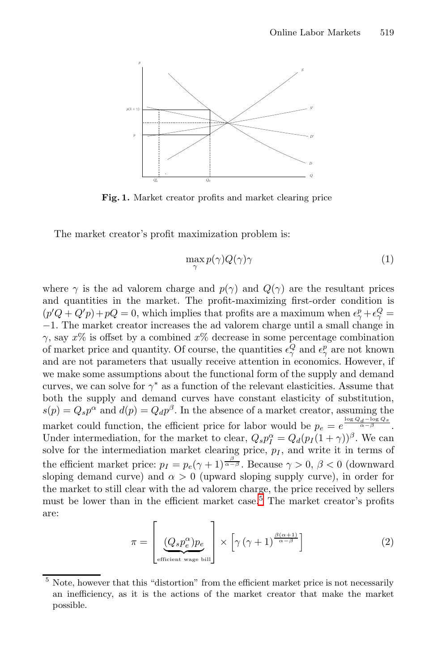

**Fig. 1.** Market creator profits and market clearing price

The market creator's profit maximization problem is:

$$
\max_{\gamma} p(\gamma)Q(\gamma)\gamma\tag{1}
$$

where  $\gamma$  is the ad valorem charge and  $p(\gamma)$  and  $Q(\gamma)$  are the resultant prices and quantities in the market. The profit-maximizing first-order condition is  $(p'Q + Q'p) + pQ = 0$ , which implies that profits are a maximum when  $\epsilon^p_{\gamma} + \epsilon^Q_{\gamma} =$ −1. The market creator increases the ad valorem charge until a small change in  $\gamma$ , say  $x\%$  is offset by a combined  $x\%$  decrease in some percentage combination of market price and quantity. Of course, the quantities  $\epsilon_{\gamma}^Q$  and  $\epsilon_{\gamma}^p$  are not known and are not parameters that usually receive attention in economics. However, if we make some assumptions about the functional form of the supply and demand curves, we can solve for  $\gamma^*$  as a function of the relevant elasticities. Assume that both the supply and demand curves have constant elasticity of substitution,  $s(p) = Q_s p^{\alpha}$  and  $d(p) = Q_d p^{\beta}$ [.](#page-4-0) In the absence of a market creator, assuming the market could function, the efficient price for labor would be  $p_e = e^{\frac{\log Q_d - \log Q_s}{\alpha - \beta}}$ . Under intermediation, for the market to clear,  $Q_s p_l^{\alpha} = Q_d (p_I (1 + \gamma))^{\beta}$ . We can solve for the intermediation market clearing price,  $p_I$ , and write it in terms of the efficient market price:  $p_I = p_e(\gamma + 1) \frac{\beta}{\alpha - \beta}$ . Because  $\gamma > 0$ ,  $\beta < 0$  (downward sloping demand curve) and  $\alpha > 0$  (upward sloping supply curve), in order for the market to still clear with the ad valorem charge, the price received by sellers must be lower than in the efficient market case.<sup>5</sup> The market creator's profits are:

$$
\pi = \left[ \underbrace{(Q_s p_e^{\alpha}) p_e}_{\text{efficient wage bill}} \right] \times \left[ \gamma \left( \gamma + 1 \right)^{\frac{\beta(\alpha+1)}{\alpha-\beta}} \right] \tag{2}
$$

<span id="page-4-0"></span><sup>5</sup> Note, however that this "distortion" from the efficient market price is not necessarily an inefficiency, as it is the actions of the market creator that make the market possible.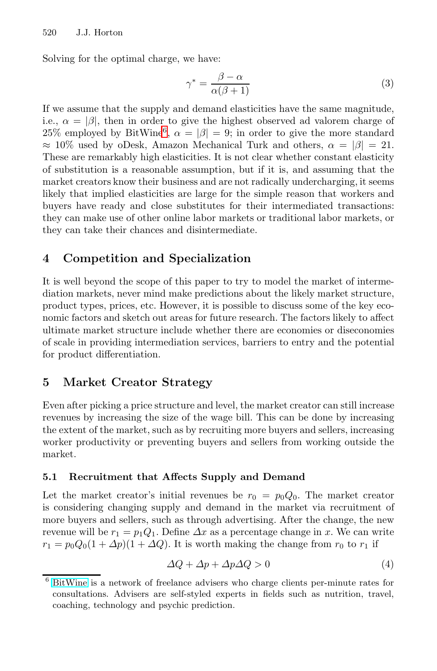520 [J.J](#page-5-0). Horton

Solving for the optimal charge, we have:

$$
\gamma^* = \frac{\beta - \alpha}{\alpha(\beta + 1)}\tag{3}
$$

If we assume that the supply and demand elasticities have the same magnitude, i.e.,  $\alpha = |\beta|$ , then in order to give the highest observed ad valorem charge of 25% employed by BitWine<sup>6</sup>,  $\alpha = |\beta| = 9$ ; in order to give the more standard  $\approx 10\%$  used by oDesk, Amazon Mechanical Turk and others,  $\alpha = |\beta| = 21$ . These are remarkably high elasticities. It is not clear whether constant elasticity of substitution is a reasonable assumption, but if it is, and assuming that the market creators know their business and are not radically undercharging, it seems likely that implied elasticities are large for the simple reason that workers and buyers have ready and close substitutes for their intermediated transactions: they can make use of other online labor markets or traditional labor markets, or they can take their chances and disintermediate.

## **4 Competition and Specialization**

It is well beyond the scope of this paper to try to model the market of intermediation markets, never mind make predictions about the likely market structure, product types, prices, etc. However, it is possible to discuss some of the key economic factors and sketch out areas for future research. The factors likely to affect ultimate market structure include whether there are economies or diseconomies of scale in providing intermediation services, barriers to entry and the potential for product differentiation.

## **5 Market Creator Strategy**

Even after picking a price structure and level, the market creator can still increase revenues by increasing the size of the wage bill. This can be done by increasing the extent of the market, such as by recruiting more buyers and sellers, increasing worker productivity or preventing buyers and sellers from working outside the market.

### **5.1 Recruitment that Affects Supply and Demand**

<span id="page-5-0"></span>Let the market creator's initial revenues be  $r_0 = p_0 Q_0$ . The market creator is considering changing supply and demand in the market via recruitment of more buyers and sellers, such as through advertising. After the change, the new revenue will be  $r_1 = p_1 Q_1$ . Define  $\Delta x$  as a percentage change in x. We can write  $r_1 = p_0 Q_0 (1 + \Delta p)(1 + \Delta Q)$ . It is worth making the change from  $r_0$  to  $r_1$  if

$$
\Delta Q + \Delta p + \Delta p \Delta Q > 0 \tag{4}
$$

<sup>6</sup> BitWine is a network of freelance advisers who charge clients per-minute rates for consultations. Advisers are self-styled experts in fields such as nutrition, travel, coaching, technology and psychic prediction.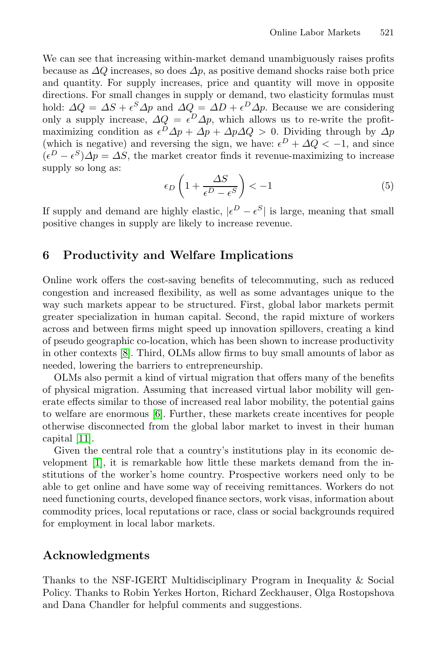We can see that increasing within-market demand unambiguously raises profits because as  $\Delta Q$  increases, so does  $\Delta p$ , as positive demand shocks raise both price and quantity. For supply increases, price and quantity will move in opposite directions. For small changes in supply or demand, two elasticity formulas must hold:  $\Delta Q = \Delta S + \epsilon^S \Delta p$  and  $\Delta Q = \Delta D + \epsilon^D \Delta p$ . Because we are considering only a supply increase,  $\Delta Q = \epsilon^D \Delta p$ , which allows us to re-write the profitmaximizing condition as  $\epsilon^D \Delta p + \Delta p + \Delta p \Delta Q > 0$ . Dividing through by  $\Delta p$ (which is negative) and reversing the sign, we have:  $\epsilon^D + \Delta Q < -1$ , and since  $({\epsilon}^D - {\epsilon}^S) \Delta p = \Delta S$ , the market creator finds it revenue-maximizing to increase supply so long as:

$$
\epsilon_D \left( 1 + \frac{\Delta S}{\epsilon^D - \epsilon^S} \right) < -1 \tag{5}
$$

If supply and demand are highly elastic,  $|\epsilon^D - \epsilon^S|$  is large, meaning that small positive changes in supply are likely to increase revenue.

## **[6](#page-7-8) Productivity and Welfare Implications**

Online work offers the cost-saving benefits of telecommuting, such as reduced congestion and increased flexibility, as well as some advantages unique to the way such markets appear to be structured. First, global labor markets permit greate[r s](#page-7-9)pecialization in human capital. Second, the rapid mixture of workers across and between firms might speed up innovation spillovers, creating a kind of pseudo geographic co-location, which has been shown to increase productivity in other contexts [8]. Third, OLMs allow firms to buy small amounts of labor as needed, lowering the barriers to entrepreneurship.

OLMs also permit a kind of virtual migration that offers many of the benefits of physical migration. Assuming that increased virtual labor mobility will generate effects similar to those of increased real labor mobility, the potential gains to welfare are enormous [6]. Further, these markets create incentives for people otherwise disconnected from the global labor market to invest in their human capital [11].

Given the central role that a country's institutions play in its economic development [1], it is remarkable how little these markets demand from the institutions of the worker's home country. Prospective workers need only to be able to get online and have some way of receiving remittances. Workers do not need functioning courts, developed finance sectors, work visas, information about commodity prices, local reputations or race, class or social backgrounds required for employment in local labor markets.

## **Acknowledgments**

Thanks to the NSF-IGERT Multidisciplinary Program in Inequality & Social Policy. Thanks to Robin Yerkes Horton, Richard Zeckhauser, Olga Rostopshova and Dana Chandler for helpful comments and suggestions.